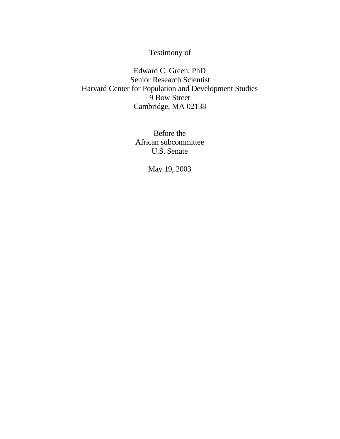## Testimony of

Edward C. Green, PhD Senior Research Scientist Harvard Center for Population and Development Studies 9 Bow Street Cambridge, MA 02138

> Before the African subcommittee U.S. Senate

> > May 19, 2003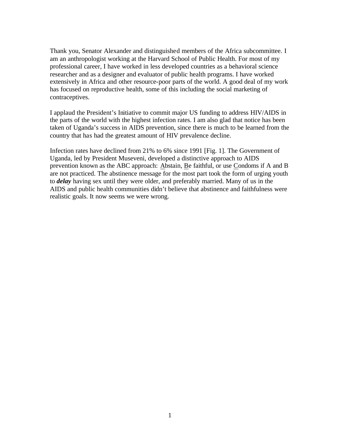Thank you, Senator Alexander and distinguished members of the Africa subcommittee. I am an anthropologist working at the Harvard School of Public Health. For most of my professional career, I have worked in less developed countries as a behavioral science researcher and as a designer and evaluator of public health programs. I have worked extensively in Africa and other resource-poor parts of the world. A good deal of my work has focused on reproductive health, some of this including the social marketing of contraceptives.

I applaud the President's Initiative to commit major US funding to address HIV/AIDS in the parts of the world with the highest infection rates. I am also glad that notice has been taken of Uganda's success in AIDS prevention, since there is much to be learned from the country that has had the greatest amount of HIV prevalence decline.

Infection rates have declined from 21% to 6% since 1991 [Fig. 1]. The Government of Uganda, led by President Museveni, developed a distinctive approach to AIDS prevention known as the ABC approach: Abstain, Be faithful, or use Condoms if A and B are not practiced. The abstinence message for the most part took the form of urging youth to *delay* having sex until they were older, and preferably married. Many of us in the AIDS and public health communities didn't believe that abstinence and faithfulness were realistic goals. It now seems we were wrong.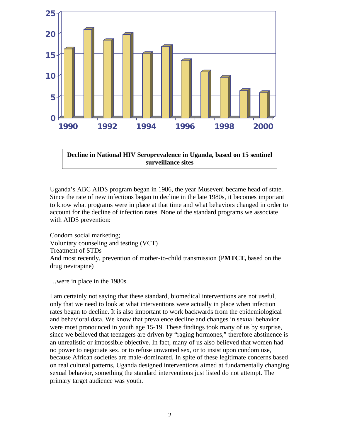

**Decline in National HIV Seroprevalence in Uganda, based on 15 sentinel surveillance sites**

Uganda's ABC AIDS program began in 1986, the year Museveni became head of state. Since the rate of new infections began to decline in the late 1980s, it becomes important to know what programs were in place at that time and what behaviors changed in order to account for the decline of infection rates. None of the standard programs we associate with AIDS prevention:

Condom social marketing; Voluntary counseling and testing (VCT) Treatment of STDs And most recently, prevention of mother-to-child transmission (P**MTCT,** based on the drug nevirapine)

…were in place in the 1980s.

I am certainly not saying that these standard, biomedical interventions are not useful, only that we need to look at what interventions were actually in place when infection rates began to decline. It is also important to work backwards from the epidemiological and behavioral data. We know that prevalence decline and changes in sexual behavior were most pronounced in youth age 15-19. These findings took many of us by surprise, since we believed that teenagers are driven by "raging hormones," therefore abstinence is an unrealistic or impossible objective. In fact, many of us also believed that women had no power to negotiate sex, or to refuse unwanted sex, or to insist upon condom use, because African societies are male-dominated. In spite of these legitimate concerns based on real cultural patterns, Uganda designed interventions aimed at fundamentally changing sexual behavior, something the standard interventions just listed do not attempt. The primary target audience was youth.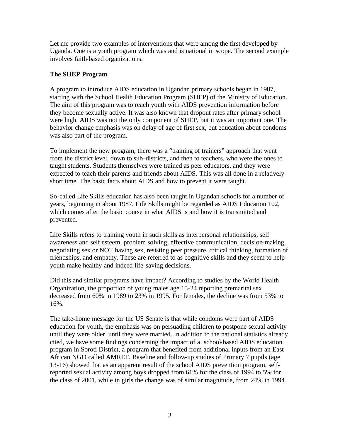Let me provide two examples of interventions that were among the first developed by Uganda. One is a youth program which was and is national in scope. The second example involves faith-based organizations.

## **The SHEP Program**

A program to introduce AIDS education in Ugandan primary schools began in 1987, starting with the School Health Education Program (SHEP) of the Ministry of Education. The aim of this program was to reach youth with AIDS prevention information before they become sexually active. It was also known that dropout rates after primary school were high. AIDS was not the only component of SHEP, but it was an important one. The behavior change emphasis was on delay of age of first sex, but education about condoms was also part of the program.

To implement the new program, there was a "training of trainers" approach that went from the district level, down to sub-districts, and then to teachers, who were the ones to taught students. Students themselves were trained as peer educators, and they were expected to teach their parents and friends about AIDS. This was all done in a relatively short time. The basic facts about AIDS and how to prevent it were taught.

So-called Life Skills education has also been taught in Ugandan schools for a number of years, beginning in about 1987. Life Skills might be regarded as AIDS Education 102, which comes after the basic course in what AIDS is and how it is transmitted and prevented.

Life Skills refers to training youth in such skills as interpersonal relationships, self awareness and self esteem, problem solving, effective communication, decision-making, negotiating sex or NOT having sex, resisting peer pressure, critical thinking, formation of friendships, and empathy. These are referred to as cognitive skills and they seem to help youth make healthy and indeed life-saving decisions.

Did this and similar programs have impact? According to studies by the World Health Organization, the proportion of young males age 15-24 reporting premarital sex decreased from 60% in 1989 to 23% in 1995. For females, the decline was from 53% to 16%.

The take-home message for the US Senate is that while condoms were part of AIDS education for youth, the emphasis was on persuading children to postpone sexual activity until they were older, until they were married. In addition to the national statistics already cited, we have some findings concerning the impact of a school-based AIDS education program in Soroti District, a program that benefited from additional inputs from an East African NGO called AMREF. Baseline and follow-up studies of Primary 7 pupils (age 13-16) showed that as an apparent result of the school AIDS prevention program, selfreported sexual activity among boys dropped from 61% for the class of 1994 to 5% for the class of 2001, while in girls the change was of similar magnitude, from 24% in 1994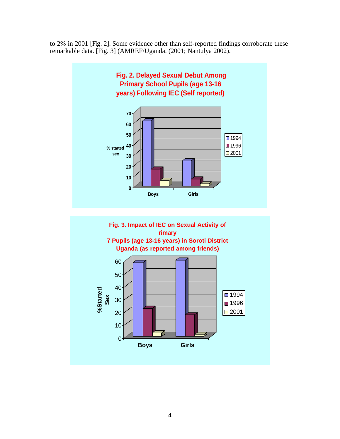to 2% in 2001 [Fig. 2]. Some evidence other than self-reported findings corroborate these remarkable data. [Fig. 3] (AMREF/Uganda. (2001; Nantulya 2002).



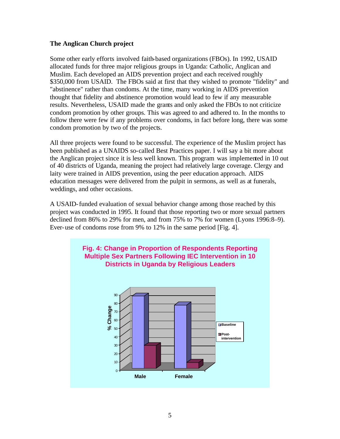## **The Anglican Church project**

Some other early efforts involved faith-based organizations (FBOs). In 1992, USAID allocated funds for three major religious groups in Uganda: Catholic, Anglican and Muslim. Each developed an AIDS prevention project and each received roughly \$350,000 from USAID. The FBOs said at first that they wished to promote "fidelity" and "abstinence" rather than condoms. At the time, many working in AIDS prevention thought that fidelity and abstinence promotion would lead to few if any measurable results. Nevertheless, USAID made the grants and only asked the FBOs to not criticize condom promotion by other groups. This was agreed to and adhered to. In the months to follow there were few if any problems over condoms, in fact before long, there was some condom promotion by two of the projects.

All three projects were found to be successful. The experience of the Muslim project has been published as a UNAIDS so-called Best Practices paper. I will say a bit more about the Anglican project since it is less well known. This program was implemented in 10 out of 40 districts of Uganda, meaning the project had relatively large coverage. Clergy and laity were trained in AIDS prevention, using the peer education approach. AIDS education messages were delivered from the pulpit in sermons, as well as at funerals, weddings, and other occasions.

A USAID-funded evaluation of sexual behavior change among those reached by this project was conducted in 1995. It found that those reporting two or more sexual partners declined from 86% to 29% for men, and from 75% to 7% for women (Lyons 1996:8–9). Ever-use of condoms rose from 9% to 12% in the same period [Fig. 4].

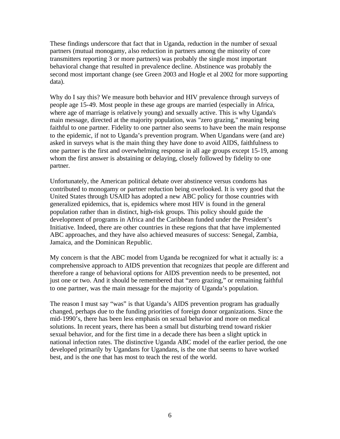These findings underscore that fact that in Uganda, reduction in the number of sexual partners (mutual monogamy, also reduction in partners among the minority of core transmitters reporting 3 or more partners) was probably the single most important behavioral change that resulted in prevalence decline. Abstinence was probably the second most important change (see Green 2003 and Hogle et al 2002 for more supporting data).

Why do I say this? We measure both behavior and HIV prevalence through surveys of people age 15-49. Most people in these age groups are married (especially in Africa, where age of marriage is relative ly young) and sexually active. This is why Uganda's main message, directed at the majority population, was "zero grazing," meaning being faithful to one partner. Fidelity to one partner also seems to have been the main response to the epidemic, if not to Uganda's prevention program. When Ugandans were (and are) asked in surveys what is the main thing they have done to avoid AIDS, faithfulness to one partner is the first and overwhelming response in all age groups except 15-19, among whom the first answer is abstaining or delaying, closely followed by fidelity to one partner.

Unfortunately, the American political debate over abstinence versus condoms has contributed to monogamy or partner reduction being overlooked. It is very good that the United States through USAID has adopted a new ABC policy for those countries with generalized epidemics, that is, epidemics where most HIV is found in the general population rather than in distinct, high-risk groups. This policy should guide the development of programs in Africa and the Caribbean funded under the President's Initiative. Indeed, there are other countries in these regions that that have implemented ABC approaches, and they have also achieved measures of success: Senegal, Zambia, Jamaica, and the Dominican Republic.

My concern is that the ABC model from Uganda be recognized for what it actually is: a comprehensive approach to AIDS prevention that recognizes that people are different and therefore a range of behavioral options for AIDS prevention needs to be presented, not just one or two. And it should be remembered that "zero grazing," or remaining faithful to one partner, was the main message for the majority of Uganda's population.

The reason I must say "was" is that Uganda's AIDS prevention program has gradually changed, perhaps due to the funding priorities of foreign donor organizations. Since the mid-1990's, there has been less emphasis on sexual behavior and more on medical solutions. In recent years, there has been a small but disturbing trend toward riskier sexual behavior, and for the first time in a decade there has been a slight uptick in national infection rates. The distinctive Uganda ABC model of the earlier period, the one developed primarily by Ugandans for Ugandans, is the one that seems to have worked best, and is the one that has most to teach the rest of the world.